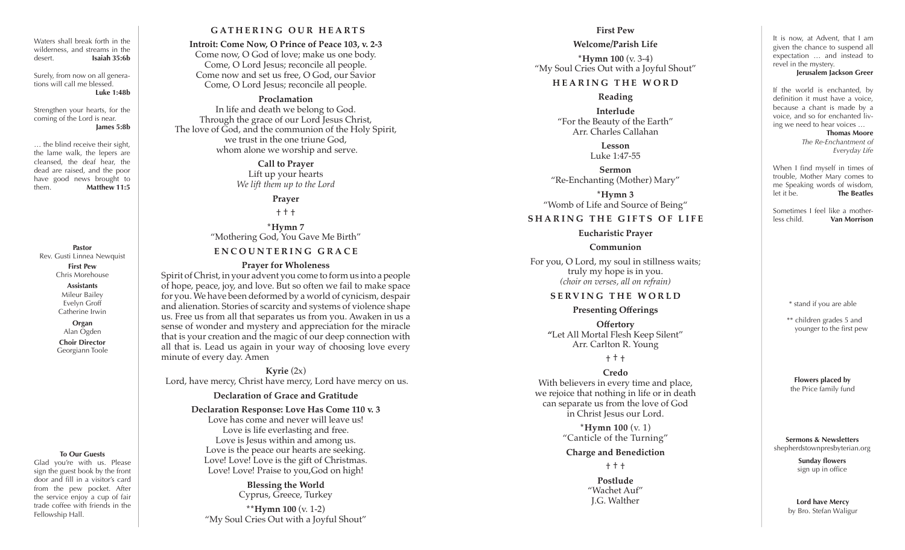Waters shall break forth in the wilderness, and streams in the desert. **Isaiah 35:6b**

Surely, from now on all genera tions will call me blessed. **Luke 1:48b**

Strengthen your hearts, for the coming of the Lord is near. **James 5:8b**

… the blind receive their sight, the lame walk, the lepers are cleansed, the deaf hear, the dead are raised, and the poor have good news brought to them. **Matthew 11:5**

**Pastor** Rev. Gusti Linnea Newquist **First Pew** Chris Morehouse

> **Assistants** Mileur Bailey Evelyn Groff Catherine Irwin

**Organ** Alan Ogden

**Choir Director** Georgiann Toole

#### **To Our Guests**

Glad you're with us. Please sign the guest book by the front door and fill in a visitor's card from the pew pocket. After the service enjoy a cup of fair trade coffee with friends in the Fellowship Hall.

### **G AT H E R I N G O U R H E A R T S**

**Introit: Come Now, O Prince of Peace 103, v. 2-3** Come now, O God of love; make us one body. Come, O Lord Jesus; reconcile all people. Come now and set us free, O God, our Savior Come, O Lord Jesus; reconcile all people.

#### **Proclamation**

In life and death we belong to God. Through the grace of our Lord Jesus Christ, The love of God, and the communion of the Holy Spirit, we trust in the one triune God, whom alone we worship and serve.

> **Call to Prayer** Lift up your hearts *We lift them up to the Lord*

#### **Prayer**

† † †

**\*Hymn 7** "Mothering God, You Gave Me Birth"

## **ENCOUNTERING GRACE**

#### **Prayer for Wholeness**

Spirit of Christ, in your advent you come to form us into a people of hope, peace, joy, and love. But so often we fail to make space for you. We have been deformed by a world of cynicism, despair and alienation. Stories of scarcity and systems of violence shape us. Free us from all that separates us from you. Awaken in us a sense of wonder and mystery and appreciation for the miracle that is your creation and the magic of our deep connection with all that is. Lead us again in your way of choosing love every minute of every day. Amen

**Kyrie** (2x) Lord, have mercy, Christ have mercy, Lord have mercy on us.

### **Declaration of Grace and Gratitude**

### **Declaration Response: Love Has Come 110 v. 3**

Love has come and never will leave us! Love is life everlasting and free. Love is Jesus within and among us. Love is the peace our hearts are seeking. Love! Love! Love is the gift of Christmas. Love! Love! Praise to you,God on high!

> **Blessing the World** Cyprus, Greece, Turkey

**\*\*Hymn 100** (v. 1-2) "My Soul Cries Out with a Joyful Shout"

### **First Pew**

#### **Welcome/Parish Life**

**\*Hymn 100** (v. 3-4) "My Soul Cries Out with a Joyful Shout"

# **HEARING THE WORD**

#### **Reading**

**Interlude** "For the Beauty of the Earth" Arr. Charles Callahan

> **Lesson** Luke 1:47-55

**Sermon** "Re-Enchanting (Mother) Mary"

**\*Hymn 3** "Womb of Life and Source of Being"

### **SHARING THE GIFTS OF LIFE**

#### **Eucharistic Prayer**

### **Communion**

For you, O Lord, my soul in stillness waits; truly my hope is in you. *(choir on verses, all on refrain)*

### **SERVING THE WORLD**

#### **Presenting Offerings**

**Offertory "**Let All Mortal Flesh Keep Silent" Arr. Carlton R. Young

† † †

#### **Credo**

With believers in every time and place, we rejoice that nothing in life or in death can separate us from the love of God in Christ Jesus our Lord.

> **\*Hymn 100** (v. 1) "Canticle of the Turning"

#### **Charge and Benediction**

† † †

**Postlude** "Wachet Auf" J.G. Walther

It is now, at Advent, that I am given the chance to suspend all expectation … and instead to revel in the mystery.

#### **Jerusalem Jackson Greer**

If the world is enchanted, by definition it must have a voice, because a chant is made by a voice, and so for enchanted liv ing we need to hear voices …

> **Thomas Moore** *The Re-Enchantment of Everyday Life*

When I find myself in times of trouble, Mother Mary comes to me Speaking words of wisdom, let it be. **The Beatles**

Sometimes I feel like a mother less child. **Van Morrison**

\* stand if you are able

\*\* children grades 5 and younger to the first pew

**Flowers placed by** the Price family fund

**Sermons & Newsletters** shepherdstownpresbyterian.org

> **Sunday flowers** sign up in office

**Lord have Mercy**  by Bro. Stefan Waligur